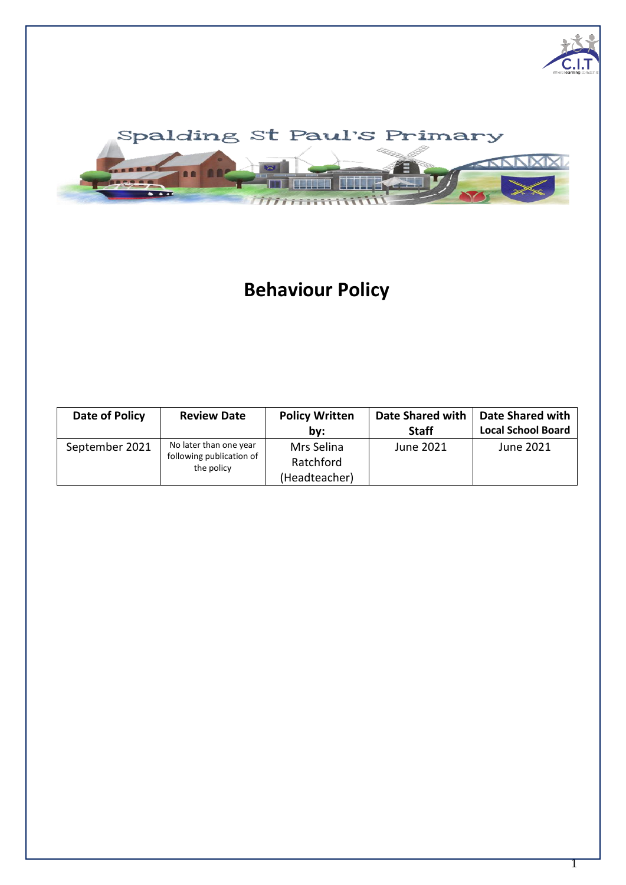



# **Behaviour Policy**

| Date of Policy | <b>Review Date</b>                                               | <b>Policy Written</b><br>bv:             | Date Shared with<br><b>Staff</b> | <b>Date Shared with</b><br><b>Local School Board</b> |
|----------------|------------------------------------------------------------------|------------------------------------------|----------------------------------|------------------------------------------------------|
| September 2021 | No later than one year<br>following publication of<br>the policy | Mrs Selina<br>Ratchford<br>(Headteacher) | June 2021                        | June 2021                                            |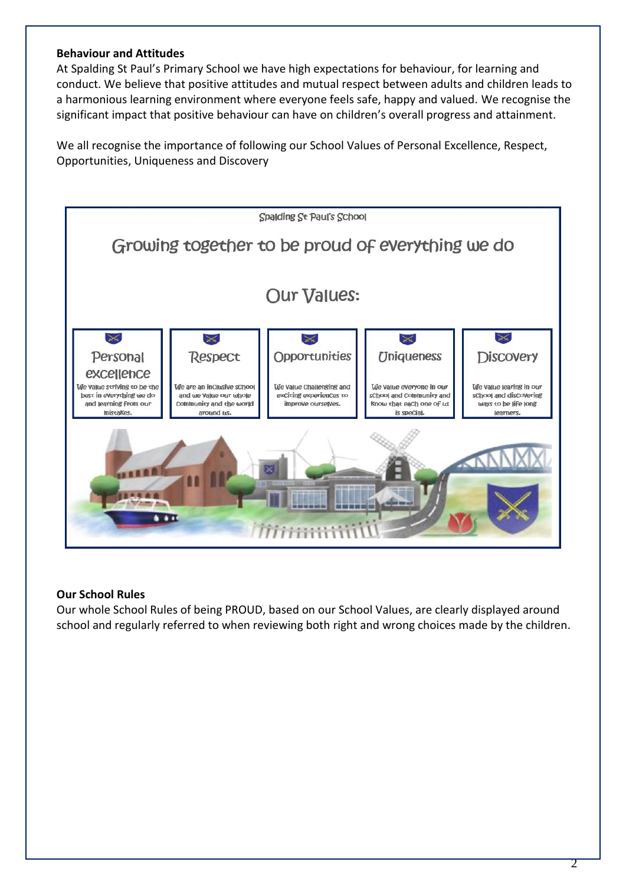### **Behaviour and Attitudes**

At Spalding St Paul's Primary School we have high expectations for behaviour, for learning and conduct. We believe that positive attitudes and mutual respect between adults and children leads to a harmonious learning environment where everyone feels safe, happy and valued. We recognise the significant impact that positive behaviour can have on children's overall progress and attainment.

We all recognise the importance of following our School Values of Personal Excellence, Respect, Opportunities, Uniqueness and Discovery



#### **Our School Rules**

Our whole School Rules of being PROUD, based on our School Values, are clearly displayed around school and regularly referred to when reviewing both right and wrong choices made by the children.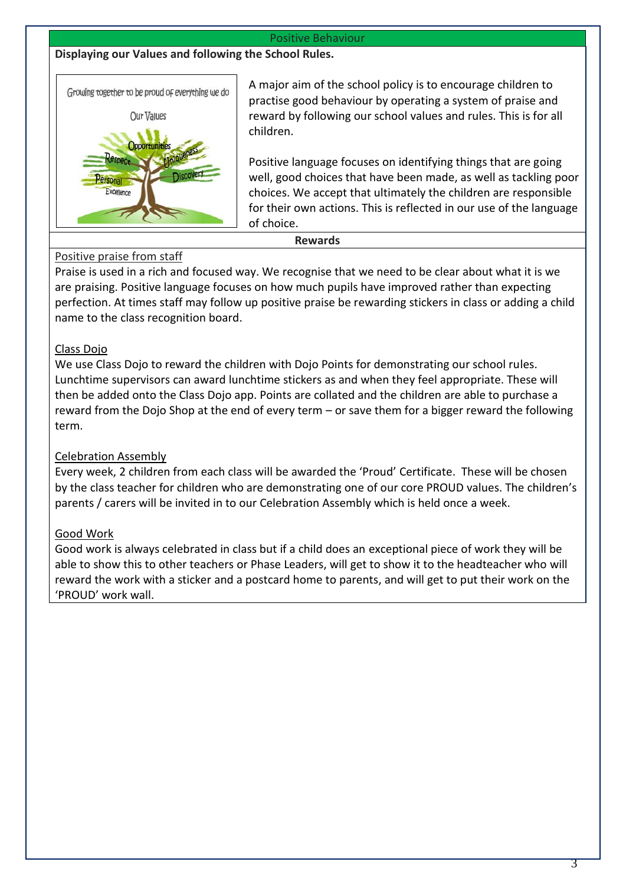#### Positive Behaviour

**Displaying our Values and following the School Rules.**



A major aim of the school policy is to encourage children to practise good behaviour by operating a system of praise and reward by following our school values and rules. This is for all children.

Positive language focuses on identifying things that are going well, good choices that have been made, as well as tackling poor choices. We accept that ultimately the children are responsible for their own actions. This is reflected in our use of the language of choice.

**Rewards**

# Positive praise from staff

Praise is used in a rich and focused way. We recognise that we need to be clear about what it is we are praising. Positive language focuses on how much pupils have improved rather than expecting perfection. At times staff may follow up positive praise be rewarding stickers in class or adding a child name to the class recognition board.

# Class Dojo

We use Class Dojo to reward the children with Dojo Points for demonstrating our school rules. Lunchtime supervisors can award lunchtime stickers as and when they feel appropriate. These will then be added onto the Class Dojo app. Points are collated and the children are able to purchase a reward from the Dojo Shop at the end of every term – or save them for a bigger reward the following term.

# Celebration Assembly

Every week, 2 children from each class will be awarded the 'Proud' Certificate. These will be chosen by the class teacher for children who are demonstrating one of our core PROUD values. The children's parents / carers will be invited in to our Celebration Assembly which is held once a week.

# Good Work

Good work is always celebrated in class but if a child does an exceptional piece of work they will be able to show this to other teachers or Phase Leaders, will get to show it to the headteacher who will reward the work with a sticker and a postcard home to parents, and will get to put their work on the 'PROUD' work wall.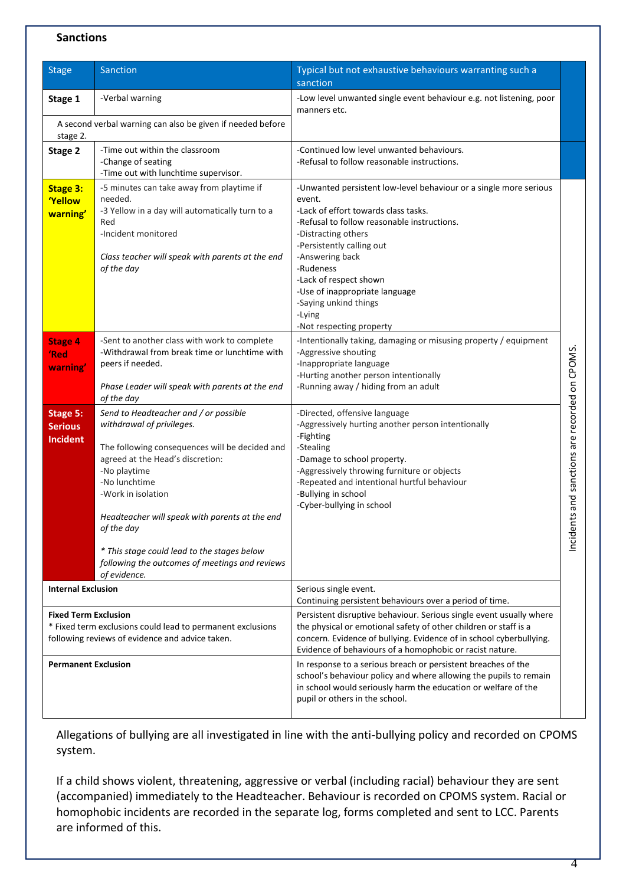#### **Sanctions**

| <b>Stage</b>                                                                                                                                 | Sanction                                                                                                                                                                                                                                                                                                                                                                                         | Typical but not exhaustive behaviours warranting such a<br>sanction                                                                                                                                                                                                                                                                                                               |                                                     |
|----------------------------------------------------------------------------------------------------------------------------------------------|--------------------------------------------------------------------------------------------------------------------------------------------------------------------------------------------------------------------------------------------------------------------------------------------------------------------------------------------------------------------------------------------------|-----------------------------------------------------------------------------------------------------------------------------------------------------------------------------------------------------------------------------------------------------------------------------------------------------------------------------------------------------------------------------------|-----------------------------------------------------|
| Stage 1                                                                                                                                      | -Verbal warning                                                                                                                                                                                                                                                                                                                                                                                  | -Low level unwanted single event behaviour e.g. not listening, poor<br>manners etc.                                                                                                                                                                                                                                                                                               |                                                     |
| stage 2.                                                                                                                                     | A second verbal warning can also be given if needed before                                                                                                                                                                                                                                                                                                                                       |                                                                                                                                                                                                                                                                                                                                                                                   |                                                     |
| Stage 2                                                                                                                                      | -Time out within the classroom<br>-Change of seating<br>-Time out with lunchtime supervisor.                                                                                                                                                                                                                                                                                                     | -Continued low level unwanted behaviours.<br>-Refusal to follow reasonable instructions.                                                                                                                                                                                                                                                                                          |                                                     |
| <b>Stage 3:</b><br><b>Yellow</b><br>warning'                                                                                                 | -5 minutes can take away from playtime if<br>needed.<br>-3 Yellow in a day will automatically turn to a<br>Red<br>-Incident monitored<br>Class teacher will speak with parents at the end<br>of the day                                                                                                                                                                                          | -Unwanted persistent low-level behaviour or a single more serious<br>event.<br>-Lack of effort towards class tasks.<br>-Refusal to follow reasonable instructions.<br>-Distracting others<br>-Persistently calling out<br>-Answering back<br>-Rudeness<br>-Lack of respect shown<br>-Use of inappropriate language<br>-Saying unkind things<br>-Lying<br>-Not respecting property |                                                     |
| <b>Stage 4</b><br>'Red<br>warning'                                                                                                           | -Sent to another class with work to complete<br>-Withdrawal from break time or lunchtime with<br>peers if needed.<br>Phase Leader will speak with parents at the end<br>of the day                                                                                                                                                                                                               | -Intentionally taking, damaging or misusing property / equipment<br>-Aggressive shouting<br>-Inappropriate language<br>-Hurting another person intentionally<br>-Running away / hiding from an adult                                                                                                                                                                              |                                                     |
| Stage 5:<br><b>Serious</b><br><b>Incident</b>                                                                                                | Send to Headteacher and / or possible<br>withdrawal of privileges.<br>The following consequences will be decided and<br>agreed at the Head's discretion:<br>-No playtime<br>-No lunchtime<br>-Work in isolation<br>Headteacher will speak with parents at the end<br>of the day<br>* This stage could lead to the stages below<br>following the outcomes of meetings and reviews<br>of evidence. | -Directed, offensive language<br>-Aggressively hurting another person intentionally<br>-Fighting<br>-Stealing<br>-Damage to school property.<br>-Aggressively throwing furniture or objects<br>-Repeated and intentional hurtful behaviour<br>-Bullying in school<br>-Cyber-bullying in school                                                                                    | nts and sanctions are recorded on CPOMS.<br>Incider |
| <b>Internal Exclusion</b>                                                                                                                    |                                                                                                                                                                                                                                                                                                                                                                                                  | Serious single event.<br>Continuing persistent behaviours over a period of time.                                                                                                                                                                                                                                                                                                  |                                                     |
| <b>Fixed Term Exclusion</b><br>* Fixed term exclusions could lead to permanent exclusions<br>following reviews of evidence and advice taken. |                                                                                                                                                                                                                                                                                                                                                                                                  | Persistent disruptive behaviour. Serious single event usually where<br>the physical or emotional safety of other children or staff is a<br>concern. Evidence of bullying. Evidence of in school cyberbullying.<br>Evidence of behaviours of a homophobic or racist nature.                                                                                                        |                                                     |
| <b>Permanent Exclusion</b>                                                                                                                   |                                                                                                                                                                                                                                                                                                                                                                                                  | In response to a serious breach or persistent breaches of the<br>school's behaviour policy and where allowing the pupils to remain<br>in school would seriously harm the education or welfare of the<br>pupil or others in the school.                                                                                                                                            |                                                     |

Allegations of bullying are all investigated in line with the anti-bullying policy and recorded on CPOMS system.

If a child shows violent, threatening, aggressive or verbal (including racial) behaviour they are sent (accompanied) immediately to the Headteacher. Behaviour is recorded on CPOMS system. Racial or homophobic incidents are recorded in the separate log, forms completed and sent to LCC. Parents are informed of this.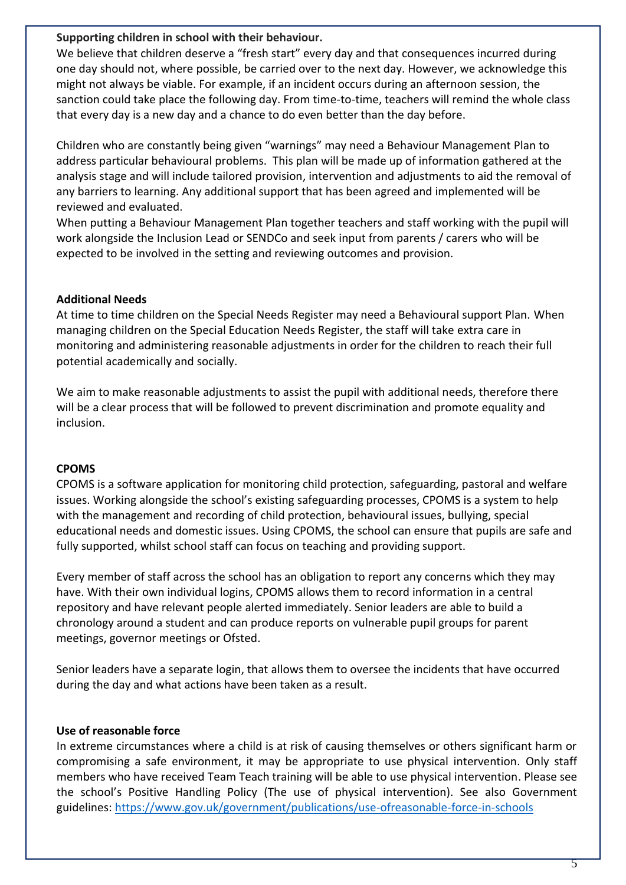#### **Supporting children in school with their behaviour.**

We believe that children deserve a "fresh start" every day and that consequences incurred during one day should not, where possible, be carried over to the next day. However, we acknowledge this might not always be viable. For example, if an incident occurs during an afternoon session, the sanction could take place the following day. From time-to-time, teachers will remind the whole class that every day is a new day and a chance to do even better than the day before.

Children who are constantly being given "warnings" may need a Behaviour Management Plan to address particular behavioural problems. This plan will be made up of information gathered at the analysis stage and will include tailored provision, intervention and adjustments to aid the removal of any barriers to learning. Any additional support that has been agreed and implemented will be reviewed and evaluated.

When putting a Behaviour Management Plan together teachers and staff working with the pupil will work alongside the Inclusion Lead or SENDCo and seek input from parents / carers who will be expected to be involved in the setting and reviewing outcomes and provision.

# **Additional Needs**

At time to time children on the Special Needs Register may need a Behavioural support Plan. When managing children on the Special Education Needs Register, the staff will take extra care in monitoring and administering reasonable adjustments in order for the children to reach their full potential academically and socially.

We aim to make reasonable adjustments to assist the pupil with additional needs, therefore there will be a clear process that will be followed to prevent discrimination and promote equality and inclusion.

# **CPOMS**

CPOMS is a software application for monitoring child protection, safeguarding, pastoral and welfare issues. Working alongside the school's existing safeguarding processes, CPOMS is a system to help with the management and recording of child protection, behavioural issues, bullying, special educational needs and domestic issues. Using CPOMS, the school can ensure that pupils are safe and fully supported, whilst school staff can focus on teaching and providing support.

Every member of staff across the school has an obligation to report any concerns which they may have. With their own individual logins, CPOMS allows them to record information in a central repository and have relevant people alerted immediately. Senior leaders are able to build a chronology around a student and can produce reports on vulnerable pupil groups for parent meetings, governor meetings or Ofsted.

Senior leaders have a separate login, that allows them to oversee the incidents that have occurred during the day and what actions have been taken as a result.

# **Use of reasonable force**

In extreme circumstances where a child is at risk of causing themselves or others significant harm or compromising a safe environment, it may be appropriate to use physical intervention. Only staff members who have received Team Teach training will be able to use physical intervention. Please see the school's Positive Handling Policy (The use of physical intervention). See also Government guidelines: [https://www.gov.uk/government/publications/use-ofreasonable-force-in-schools](https://www.gov.uk/government/publications/use-of-reasonable-force-in-schools)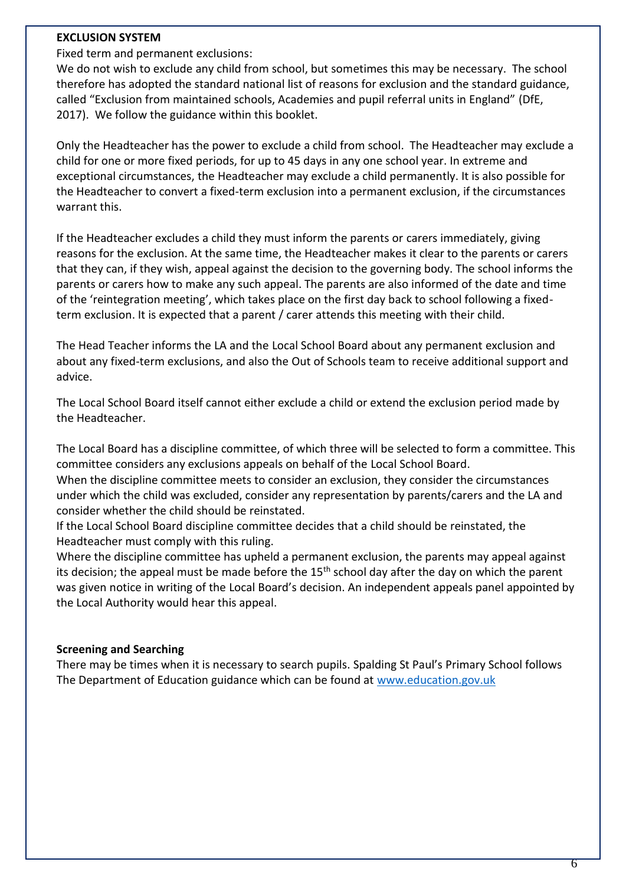### **EXCLUSION SYSTEM**

Fixed term and permanent exclusions:

We do not wish to exclude any child from school, but sometimes this may be necessary. The school therefore has adopted the standard national list of reasons for exclusion and the standard guidance, called "Exclusion from maintained schools, Academies and pupil referral units in England" (DfE, 2017). We follow the guidance within this booklet.

Only the Headteacher has the power to exclude a child from school. The Headteacher may exclude a child for one or more fixed periods, for up to 45 days in any one school year. In extreme and exceptional circumstances, the Headteacher may exclude a child permanently. It is also possible for the Headteacher to convert a fixed-term exclusion into a permanent exclusion, if the circumstances warrant this.

If the Headteacher excludes a child they must inform the parents or carers immediately, giving reasons for the exclusion. At the same time, the Headteacher makes it clear to the parents or carers that they can, if they wish, appeal against the decision to the governing body. The school informs the parents or carers how to make any such appeal. The parents are also informed of the date and time of the 'reintegration meeting', which takes place on the first day back to school following a fixedterm exclusion. It is expected that a parent / carer attends this meeting with their child.

The Head Teacher informs the LA and the Local School Board about any permanent exclusion and about any fixed-term exclusions, and also the Out of Schools team to receive additional support and advice.

The Local School Board itself cannot either exclude a child or extend the exclusion period made by the Headteacher.

The Local Board has a discipline committee, of which three will be selected to form a committee. This committee considers any exclusions appeals on behalf of the Local School Board.

When the discipline committee meets to consider an exclusion, they consider the circumstances under which the child was excluded, consider any representation by parents/carers and the LA and consider whether the child should be reinstated.

If the Local School Board discipline committee decides that a child should be reinstated, the Headteacher must comply with this ruling.

Where the discipline committee has upheld a permanent exclusion, the parents may appeal against its decision; the appeal must be made before the  $15<sup>th</sup>$  school day after the day on which the parent was given notice in writing of the Local Board's decision. An independent appeals panel appointed by the Local Authority would hear this appeal.

#### **Screening and Searching**

There may be times when it is necessary to search pupils. Spalding St Paul's Primary School follows The Department of Education guidance which can be found at [www.education.gov.uk](http://www.education.gov.uk/)